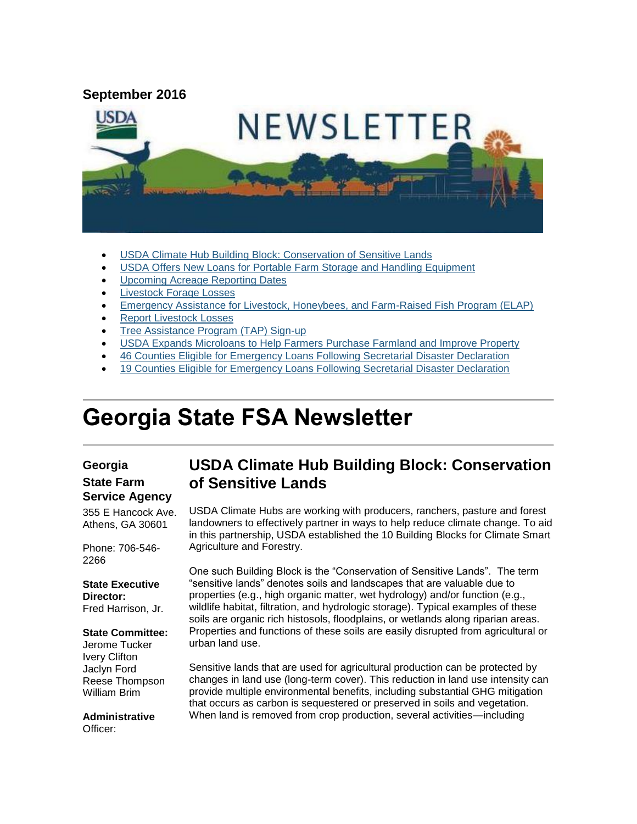#### **September 2016**



- [USDA Climate Hub Building Block: Conservation of Sensitive Lands](#page-0-0)
- [USDA Offers New Loans for Portable Farm Storage and Handling Equipment](#page-1-0)
- [Upcoming Acreage Reporting Dates](#page-2-0)
- [Livestock Forage Losses](#page-2-1)
- [Emergency Assistance for Livestock, Honeybees, and Farm-Raised Fish Program \(ELAP\)](#page-3-0)
- [Report Livestock Losses](#page-4-0)
- [Tree Assistance Program \(TAP\) Sign-up](#page-4-1)
- [USDA Expands Microloans to Help Farmers Purchase Farmland and Improve Property](#page-5-0)
- [46 Counties Eligible for Emergency Loans Following Secretarial Disaster Declaration](#page-5-1)
- [19 Counties Eligible for Emergency Loans Following Secretarial Disaster Declaration](#page-6-0)

# **Georgia State FSA Newsletter**

#### **Georgia State Farm Service Agency**

355 E Hancock Ave. Athens, GA 30601

Phone: 706-546- 2266

#### **State Executive Director:**

Fred Harrison, Jr.

#### **State Committee:**

Jerome Tucker Ivery Clifton Jaclyn Ford Reese Thompson William Brim

**Administrative** Officer:

## <span id="page-0-0"></span>**USDA Climate Hub Building Block: Conservation of Sensitive Lands**

USDA Climate Hubs are working with producers, ranchers, pasture and forest landowners to effectively partner in ways to help reduce climate change. To aid in this partnership, USDA established the 10 Building Blocks for Climate Smart Agriculture and Forestry.

One such Building Block is the "Conservation of Sensitive Lands". The term "sensitive lands" denotes soils and landscapes that are valuable due to properties (e.g., high organic matter, wet hydrology) and/or function (e.g., wildlife habitat, filtration, and hydrologic storage). Typical examples of these soils are organic rich histosols, floodplains, or wetlands along riparian areas. Properties and functions of these soils are easily disrupted from agricultural or urban land use.

Sensitive lands that are used for agricultural production can be protected by changes in land use (long-term cover). This reduction in land use intensity can provide multiple environmental benefits, including substantial GHG mitigation that occurs as carbon is sequestered or preserved in soils and vegetation. When land is removed from crop production, several activities—including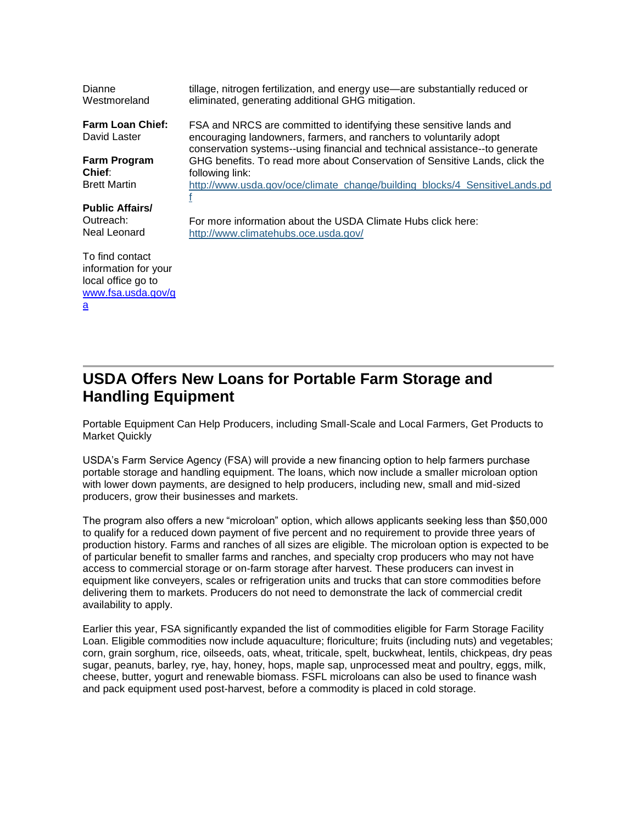| Dianne<br>Westmoreland                                                                          | tillage, nitrogen fertilization, and energy use—are substantially reduced or<br>eliminated, generating additional GHG mitigation.                                                                                        |
|-------------------------------------------------------------------------------------------------|--------------------------------------------------------------------------------------------------------------------------------------------------------------------------------------------------------------------------|
| <b>Farm Loan Chief:</b><br>David Laster                                                         | FSA and NRCS are committed to identifying these sensitive lands and<br>encouraging landowners, farmers, and ranchers to voluntarily adopt<br>conservation systems--using financial and technical assistance--to generate |
| Farm Program                                                                                    | GHG benefits. To read more about Conservation of Sensitive Lands, click the                                                                                                                                              |
| Chief:                                                                                          | following link:                                                                                                                                                                                                          |
| <b>Brett Martin</b>                                                                             | http://www.usda.gov/oce/climate_change/building_blocks/4_SensitiveLands.pd                                                                                                                                               |
| <b>Public Affairs/</b><br>Outreach:<br>Neal Leonard                                             | For more information about the USDA Climate Hubs click here:<br>http://www.climatehubs.oce.usda.gov/                                                                                                                     |
| To find contact<br>information for your<br>local office go to<br>www.fsa.usda.gov/g<br><u>a</u> |                                                                                                                                                                                                                          |

## <span id="page-1-0"></span>**USDA Offers New Loans for Portable Farm Storage and Handling Equipment**

Portable Equipment Can Help Producers, including Small-Scale and Local Farmers, Get Products to Market Quickly

USDA's Farm Service Agency (FSA) will provide a new financing option to help farmers purchase portable storage and handling equipment. The loans, which now include a smaller microloan option with lower down payments, are designed to help producers, including new, small and mid-sized producers, grow their businesses and markets.

The program also offers a new "microloan" option, which allows applicants seeking less than \$50,000 to qualify for a reduced down payment of five percent and no requirement to provide three years of production history. Farms and ranches of all sizes are eligible. The microloan option is expected to be of particular benefit to smaller farms and ranches, and specialty crop producers who may not have access to commercial storage or on-farm storage after harvest. These producers can invest in equipment like conveyers, scales or refrigeration units and trucks that can store commodities before delivering them to markets. Producers do not need to demonstrate the lack of commercial credit availability to apply.

Earlier this year, FSA significantly expanded the list of commodities eligible for Farm Storage Facility Loan. Eligible commodities now include aquaculture; floriculture; fruits (including nuts) and vegetables; corn, grain sorghum, rice, oilseeds, oats, wheat, triticale, spelt, buckwheat, lentils, chickpeas, dry peas sugar, peanuts, barley, rye, hay, honey, hops, maple sap, unprocessed meat and poultry, eggs, milk, cheese, butter, yogurt and renewable biomass. FSFL microloans can also be used to finance wash and pack equipment used post-harvest, before a commodity is placed in cold storage.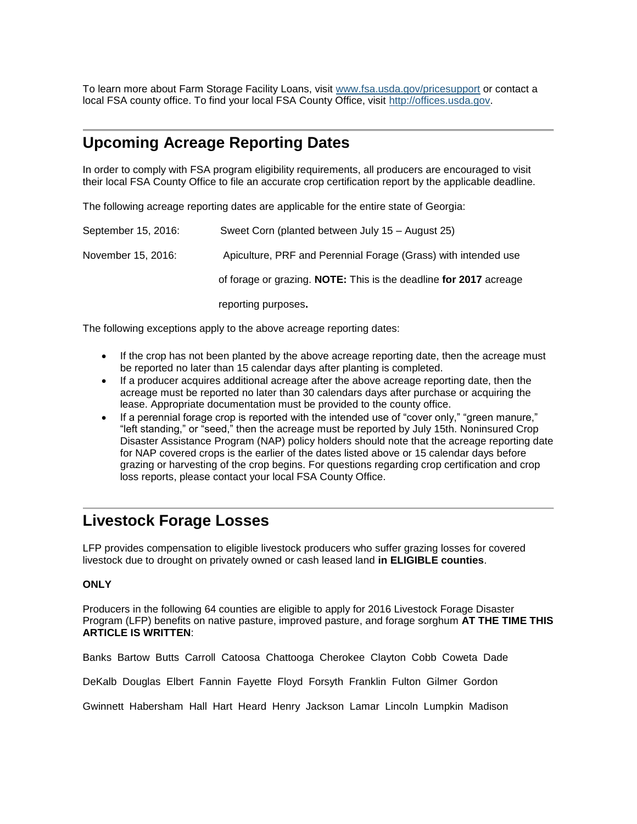To learn more about Farm Storage Facility Loans, visit [www.fsa.usda.gov/pricesupport](http://www.fsa.usda.gov/pricesupport) or contact a local FSA county office. To find your local FSA County Office, visit [http://offices.usda.gov.](http://offices.usda.gov/)

### <span id="page-2-0"></span>**Upcoming Acreage Reporting Dates**

In order to comply with FSA program eligibility requirements, all producers are encouraged to visit their local FSA County Office to file an accurate crop certification report by the applicable deadline.

The following acreage reporting dates are applicable for the entire state of Georgia:

| September 15, 2016: | Sweet Corn (planted between July 15 – August 25)                  |
|---------------------|-------------------------------------------------------------------|
| November 15, 2016:  | Apiculture, PRF and Perennial Forage (Grass) with intended use    |
|                     | of forage or grazing. NOTE: This is the deadline for 2017 acreage |
|                     | reporting purposes.                                               |

The following exceptions apply to the above acreage reporting dates:

- If the crop has not been planted by the above acreage reporting date, then the acreage must be reported no later than 15 calendar days after planting is completed.
- If a producer acquires additional acreage after the above acreage reporting date, then the acreage must be reported no later than 30 calendars days after purchase or acquiring the lease. Appropriate documentation must be provided to the county office.
- If a perennial forage crop is reported with the intended use of "cover only," "green manure," "left standing," or "seed," then the acreage must be reported by July 15th. Noninsured Crop Disaster Assistance Program (NAP) policy holders should note that the acreage reporting date for NAP covered crops is the earlier of the dates listed above or 15 calendar days before grazing or harvesting of the crop begins. For questions regarding crop certification and crop loss reports, please contact your local FSA County Office.

#### <span id="page-2-1"></span>**Livestock Forage Losses**

LFP provides compensation to eligible livestock producers who suffer grazing losses for covered livestock due to drought on privately owned or cash leased land **in ELIGIBLE counties**.

#### **ONLY**

Producers in the following 64 counties are eligible to apply for 2016 Livestock Forage Disaster Program (LFP) benefits on native pasture, improved pasture, and forage sorghum **AT THE TIME THIS ARTICLE IS WRITTEN**:

Banks Bartow Butts Carroll Catoosa Chattooga Cherokee Clayton Cobb Coweta Dade

DeKalb Douglas Elbert Fannin Fayette Floyd Forsyth Franklin Fulton Gilmer Gordon

Gwinnett Habersham Hall Hart Heard Henry Jackson Lamar Lincoln Lumpkin Madison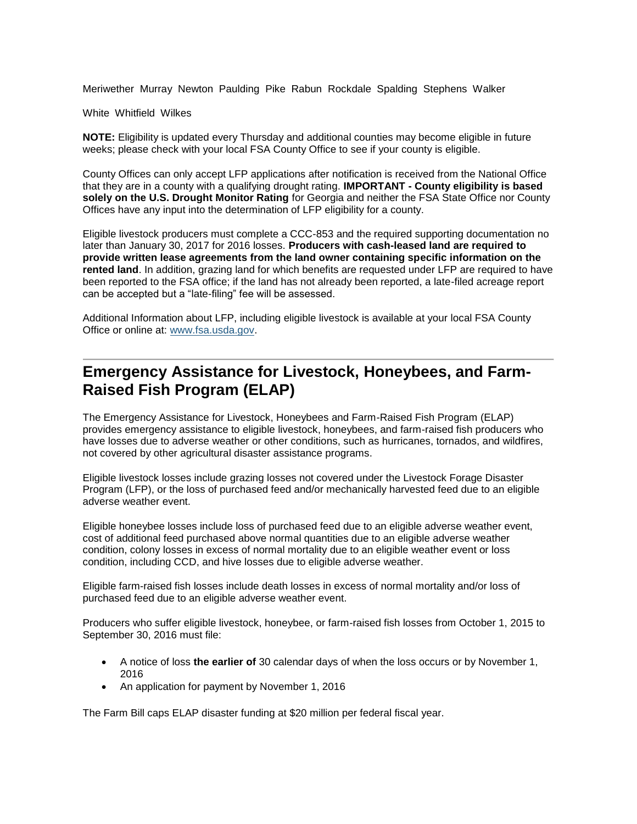Meriwether Murray Newton Paulding Pike Rabun Rockdale Spalding Stephens Walker

White Whitfield Wilkes

**NOTE:** Eligibility is updated every Thursday and additional counties may become eligible in future weeks; please check with your local FSA County Office to see if your county is eligible.

County Offices can only accept LFP applications after notification is received from the National Office that they are in a county with a qualifying drought rating. **IMPORTANT - County eligibility is based solely on the U.S. Drought Monitor Rating** for Georgia and neither the FSA State Office nor County Offices have any input into the determination of LFP eligibility for a county.

Eligible livestock producers must complete a CCC-853 and the required supporting documentation no later than January 30, 2017 for 2016 losses. **Producers with cash-leased land are required to provide written lease agreements from the land owner containing specific information on the rented land**. In addition, grazing land for which benefits are requested under LFP are required to have been reported to the FSA office; if the land has not already been reported, a late-filed acreage report can be accepted but a "late-filing" fee will be assessed.

Additional Information about LFP, including eligible livestock is available at your local FSA County Office or online at: [www.fsa.usda.gov.](http://www.fsa.usda.gov/)

### <span id="page-3-0"></span>**Emergency Assistance for Livestock, Honeybees, and Farm-Raised Fish Program (ELAP)**

The Emergency Assistance for Livestock, Honeybees and Farm-Raised Fish Program (ELAP) provides emergency assistance to eligible livestock, honeybees, and farm-raised fish producers who have losses due to adverse weather or other conditions, such as hurricanes, tornados, and wildfires, not covered by other agricultural disaster assistance programs.

Eligible livestock losses include grazing losses not covered under the Livestock Forage Disaster Program (LFP), or the loss of purchased feed and/or mechanically harvested feed due to an eligible adverse weather event.

Eligible honeybee losses include loss of purchased feed due to an eligible adverse weather event, cost of additional feed purchased above normal quantities due to an eligible adverse weather condition, colony losses in excess of normal mortality due to an eligible weather event or loss condition, including CCD, and hive losses due to eligible adverse weather.

Eligible farm-raised fish losses include death losses in excess of normal mortality and/or loss of purchased feed due to an eligible adverse weather event.

Producers who suffer eligible livestock, honeybee, or farm-raised fish losses from October 1, 2015 to September 30, 2016 must file:

- A notice of loss **the earlier of** 30 calendar days of when the loss occurs or by November 1, 2016
- An application for payment by November 1, 2016

The Farm Bill caps ELAP disaster funding at \$20 million per federal fiscal year.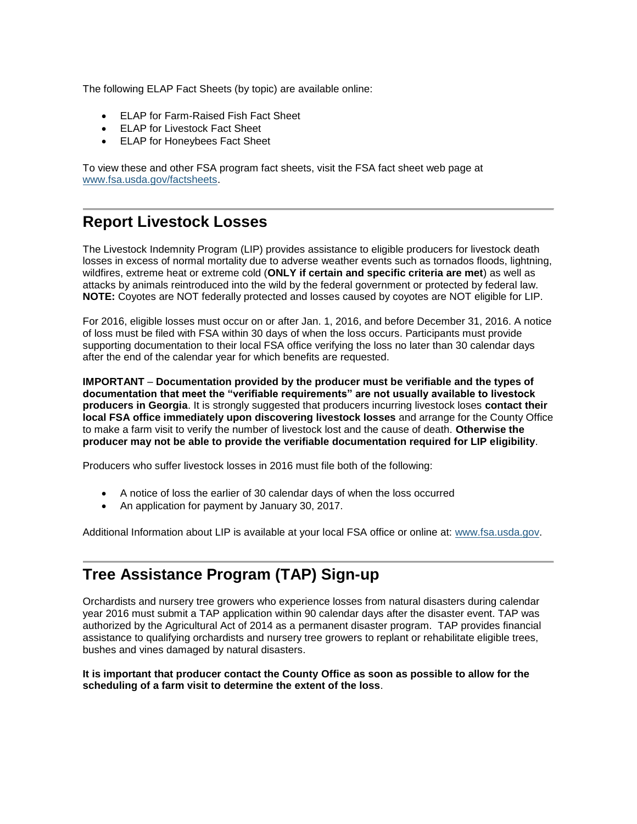The following ELAP Fact Sheets (by topic) are available online:

- ELAP for Farm-Raised Fish Fact Sheet
- ELAP for Livestock Fact Sheet
- ELAP for Honeybees Fact Sheet

To view these and other FSA program fact sheets, visit the FSA fact sheet web page at [www.fsa.usda.gov/factsheets.](http://www.fsa.usda.gov/factsheets)

#### <span id="page-4-0"></span>**Report Livestock Losses**

The Livestock Indemnity Program (LIP) provides assistance to eligible producers for livestock death losses in excess of normal mortality due to adverse weather events such as tornados floods, lightning, wildfires, extreme heat or extreme cold (**ONLY if certain and specific criteria are met**) as well as attacks by animals reintroduced into the wild by the federal government or protected by federal law. **NOTE:** Coyotes are NOT federally protected and losses caused by coyotes are NOT eligible for LIP.

For 2016, eligible losses must occur on or after Jan. 1, 2016, and before December 31, 2016. A notice of loss must be filed with FSA within 30 days of when the loss occurs. Participants must provide supporting documentation to their local FSA office verifying the loss no later than 30 calendar days after the end of the calendar year for which benefits are requested.

**IMPORTANT** – **Documentation provided by the producer must be verifiable and the types of documentation that meet the "verifiable requirements" are not usually available to livestock producers in Georgia**. It is strongly suggested that producers incurring livestock loses **contact their local FSA office immediately upon discovering livestock losses** and arrange for the County Office to make a farm visit to verify the number of livestock lost and the cause of death. **Otherwise the producer may not be able to provide the verifiable documentation required for LIP eligibility**.

Producers who suffer livestock losses in 2016 must file both of the following:

- A notice of loss the earlier of 30 calendar days of when the loss occurred
- An application for payment by January 30, 2017.

Additional Information about LIP is available at your local FSA office or online at: [www.fsa.usda.gov.](file:///C:/Documents%20and%20Settings/murray.watts/Local%20Settings/Temporary%20Internet%20Files/Content.Outlook/WRAEZEPN/www.fsa.usda.gov)

## <span id="page-4-1"></span>**Tree Assistance Program (TAP) Sign-up**

Orchardists and nursery tree growers who experience losses from natural disasters during calendar year 2016 must submit a TAP application within 90 calendar days after the disaster event. TAP was authorized by the Agricultural Act of 2014 as a permanent disaster program. TAP provides financial assistance to qualifying orchardists and nursery tree growers to replant or rehabilitate eligible trees, bushes and vines damaged by natural disasters.

**It is important that producer contact the County Office as soon as possible to allow for the scheduling of a farm visit to determine the extent of the loss**.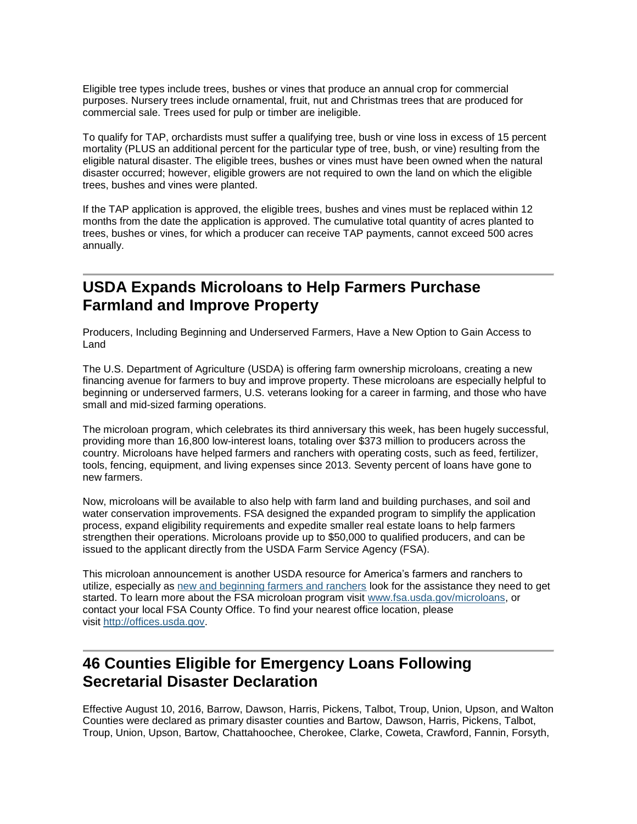Eligible tree types include trees, bushes or vines that produce an annual crop for commercial purposes. Nursery trees include ornamental, fruit, nut and Christmas trees that are produced for commercial sale. Trees used for pulp or timber are ineligible.

To qualify for TAP, orchardists must suffer a qualifying tree, bush or vine loss in excess of 15 percent mortality (PLUS an additional percent for the particular type of tree, bush, or vine) resulting from the eligible natural disaster. The eligible trees, bushes or vines must have been owned when the natural disaster occurred; however, eligible growers are not required to own the land on which the eligible trees, bushes and vines were planted.

If the TAP application is approved, the eligible trees, bushes and vines must be replaced within 12 months from the date the application is approved. The cumulative total quantity of acres planted to trees, bushes or vines, for which a producer can receive TAP payments, cannot exceed 500 acres annually.

### <span id="page-5-0"></span>**USDA Expands Microloans to Help Farmers Purchase Farmland and Improve Property**

Producers, Including Beginning and Underserved Farmers, Have a New Option to Gain Access to Land

The U.S. Department of Agriculture (USDA) is offering farm ownership microloans, creating a new financing avenue for farmers to buy and improve property. These microloans are especially helpful to beginning or underserved farmers, U.S. veterans looking for a career in farming, and those who have small and mid-sized farming operations.

The microloan program, which celebrates its third anniversary this week, has been hugely successful, providing more than 16,800 low-interest loans, totaling over \$373 million to producers across the country. Microloans have helped farmers and ranchers with operating costs, such as feed, fertilizer, tools, fencing, equipment, and living expenses since 2013. Seventy percent of loans have gone to new farmers.

Now, microloans will be available to also help with farm land and building purchases, and soil and water conservation improvements. FSA designed the expanded program to simplify the application process, expand eligibility requirements and expedite smaller real estate loans to help farmers strengthen their operations. Microloans provide up to \$50,000 to qualified producers, and can be issued to the applicant directly from the USDA Farm Service Agency (FSA).

This microloan announcement is another USDA resource for America's farmers and ranchers to utilize, especially as [new and beginning farmers and ranchers](http://www.usda.gov/newfarmers) look for the assistance they need to get started. To learn more about the FSA microloan program visit [www.fsa.usda.gov/microloans,](http://www.fsa.usda.gov/microloans) or contact your local FSA County Office. To find your nearest office location, please visit [http://offices.usda.gov.](http://links.govdelivery.com/track?type=click&enid=ZWFzPTEmbWFpbGluZ2lkPTIwMTUwMjEwLjQxNDAyNjYxJm1lc3NhZ2VpZD1NREItUFJELUJVTC0yMDE1MDIxMC40MTQwMjY2MSZkYXRhYmFzZWlkPTEwMDEmc2VyaWFsPTE3MjQxMDk2JmVtYWlsaWQ9ZGFyaW4ubGVhY2hAaWEudXNkYS5nb3YmdXNlcmlkPWRhcmluLmxlYWNoQGlhLnVzZGEuZ292JmZsPSZleHRyYT1NdWx0aXZhcmlhdGVJZD0mJiY=&&&113&&&http://offices.usda.gov/)

### <span id="page-5-1"></span>**46 Counties Eligible for Emergency Loans Following Secretarial Disaster Declaration**

Effective August 10, 2016, Barrow, Dawson, Harris, Pickens, Talbot, Troup, Union, Upson, and Walton Counties were declared as primary disaster counties and Bartow, Dawson, Harris, Pickens, Talbot, Troup, Union, Upson, Bartow, Chattahoochee, Cherokee, Clarke, Coweta, Crawford, Fannin, Forsyth,